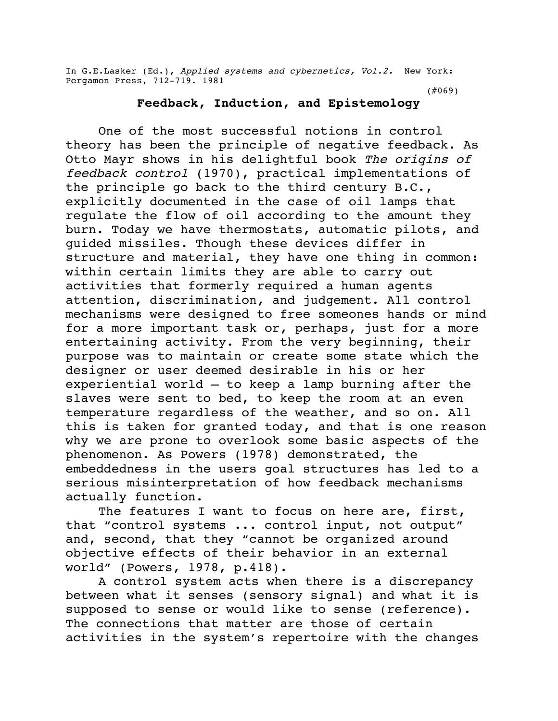In G.E.Lasker (Ed.), Applied systems and cybernetics, Vol.2. New York: Pergamon Press, 712-719. 1981

(#069)

## **Feedback, Induction, and Epistemology**

One of the most successful notions in control theory has been the principle of negative feedback. As Otto Mayr shows in his delightful book The oriqins of feedback control (1970), practical implementations of the principle go back to the third century B.C., explicitly documented in the case of oil lamps that regulate the flow of oil according to the amount they burn. Today we have thermostats, automatic pilots, and guided missiles. Though these devices differ in structure and material, they have one thing in common: within certain limits they are able to carry out activities that formerly required a human agents attention, discrimination, and judgement. All control mechanisms were designed to free someones hands or mind for a more important task or, perhaps, just for a more entertaining activity. From the very beginning, their purpose was to maintain or create some state which the designer or user deemed desirable in his or her experiential world — to keep a lamp burning after the slaves were sent to bed, to keep the room at an even temperature regardless of the weather, and so on. All this is taken for granted today, and that is one reason why we are prone to overlook some basic aspects of the phenomenon. As Powers (1978) demonstrated, the embeddedness in the users goal structures has led to a serious misinterpretation of how feedback mechanisms actually function.

The features I want to focus on here are, first, that "control systems ... control input, not output" and, second, that they "cannot be organized around objective effects of their behavior in an external world" (Powers, 1978, p.418).

A control system acts when there is a discrepancy between what it senses (sensory signal) and what it is supposed to sense or would like to sense (reference). The connections that matter are those of certain activities in the system's repertoire with the changes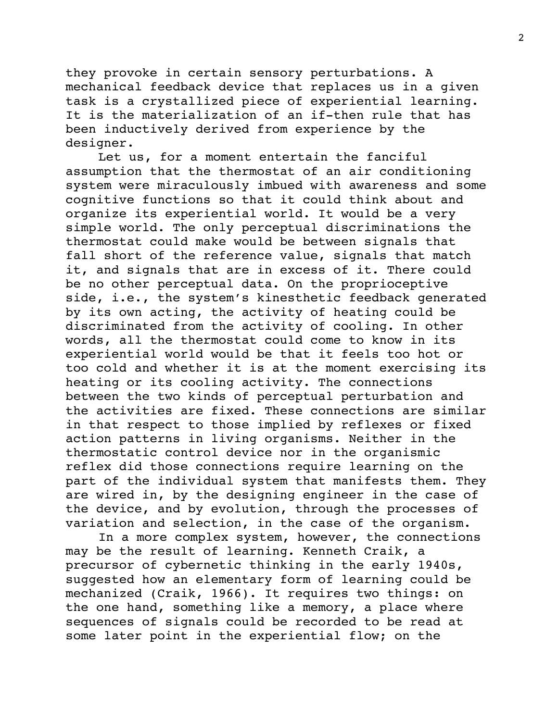they provoke in certain sensory perturbations. A mechanical feedback device that replaces us in a given task is a crystallized piece of experiential learning. It is the materialization of an if-then rule that has been inductively derived from experience by the designer.

Let us, for a moment entertain the fanciful assumption that the thermostat of an air conditioning system were miraculously imbued with awareness and some cognitive functions so that it could think about and organize its experiential world. It would be a very simple world. The only perceptual discriminations the thermostat could make would be between signals that fall short of the reference value, signals that match it, and signals that are in excess of it. There could be no other perceptual data. On the proprioceptive side, i.e., the system's kinesthetic feedback generated by its own acting, the activity of heating could be discriminated from the activity of cooling. In other words, all the thermostat could come to know in its experiential world would be that it feels too hot or too cold and whether it is at the moment exercising its heating or its cooling activity. The connections between the two kinds of perceptual perturbation and the activities are fixed. These connections are similar in that respect to those implied by reflexes or fixed action patterns in living organisms. Neither in the thermostatic control device nor in the organismic reflex did those connections require learning on the part of the individual system that manifests them. They are wired in, by the designing engineer in the case of the device, and by evolution, through the processes of variation and selection, in the case of the organism.

In a more complex system, however, the connections may be the result of learning. Kenneth Craik, a precursor of cybernetic thinking in the early 1940s, suggested how an elementary form of learning could be mechanized (Craik, 1966). It requires two things: on the one hand, something like a memory, a place where sequences of signals could be recorded to be read at some later point in the experiential flow; on the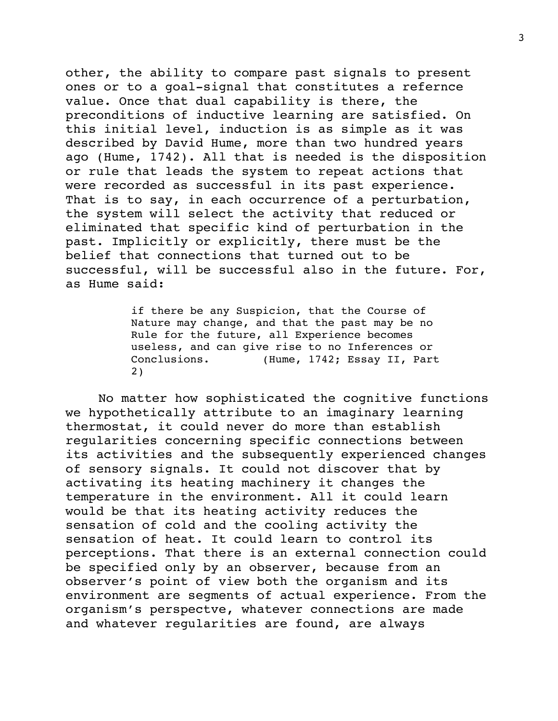other, the ability to compare past signals to present ones or to a goal-signal that constitutes a refernce value. Once that dual capability is there, the preconditions of inductive learning are satisfied. On this initial level, induction is as simple as it was described by David Hume, more than two hundred years ago (Hume, 1742). All that is needed is the disposition or rule that leads the system to repeat actions that were recorded as successful in its past experience. That is to say, in each occurrence of a perturbation, the system will select the activity that reduced or eliminated that specific kind of perturbation in the past. Implicitly or explicitly, there must be the belief that connections that turned out to be successful, will be successful also in the future. For, as Hume said:

> if there be any Suspicion, that the Course of Nature may change, and that the past may be no Rule for the future, all Experience becomes useless, and can give rise to no Inferences or Conclusions. (Hume, 1742; Essay II, Part 2)

No matter how sophisticated the cognitive functions we hypothetically attribute to an imaginary learning thermostat, it could never do more than establish regularities concerning specific connections between its activities and the subsequently experienced changes of sensory signals. It could not discover that by activating its heating machinery it changes the temperature in the environment. All it could learn would be that its heating activity reduces the sensation of cold and the cooling activity the sensation of heat. It could learn to control its perceptions. That there is an external connection could be specified only by an observer, because from an observer's point of view both the organism and its environment are segments of actual experience. From the organism's perspectve, whatever connections are made and whatever regularities are found, are always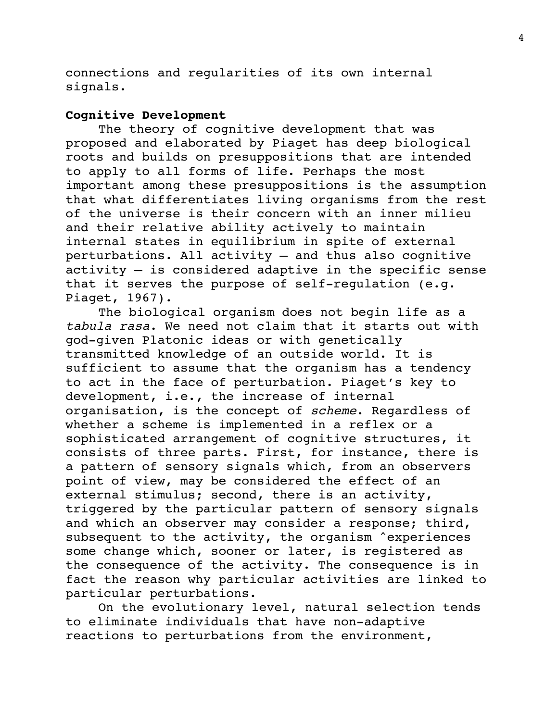connections and regularities of its own internal signals.

## **Cognitive Development**

The theory of cognitive development that was proposed and elaborated by Piaget has deep biological roots and builds on presuppositions that are intended to apply to all forms of life. Perhaps the most important among these presuppositions is the assumption that what differentiates living organisms from the rest of the universe is their concern with an inner milieu and their relative ability actively to maintain internal states in equilibrium in spite of external perturbations. All activity — and thus also cognitive activity — is considered adaptive in the specific sense that it serves the purpose of self-regulation (e.g. Piaget, 1967).

The biological organism does not begin life as a tabula rasa. We need not claim that it starts out with god-given Platonic ideas or with genetically transmitted knowledge of an outside world. It is sufficient to assume that the organism has a tendency to act in the face of perturbation. Piaget's key to development, i.e., the increase of internal organisation, is the concept of scheme. Regardless of whether a scheme is implemented in a reflex or a sophisticated arrangement of cognitive structures, it consists of three parts. First, for instance, there is a pattern of sensory signals which, from an observers point of view, may be considered the effect of an external stimulus; second, there is an activity, triggered by the particular pattern of sensory signals and which an observer may consider a response; third, subsequent to the activity, the organism 'experiences some change which, sooner or later, is registered as the consequence of the activity. The consequence is in fact the reason why particular activities are linked to particular perturbations.

On the evolutionary level, natural selection tends to eliminate individuals that have non-adaptive reactions to perturbations from the environment,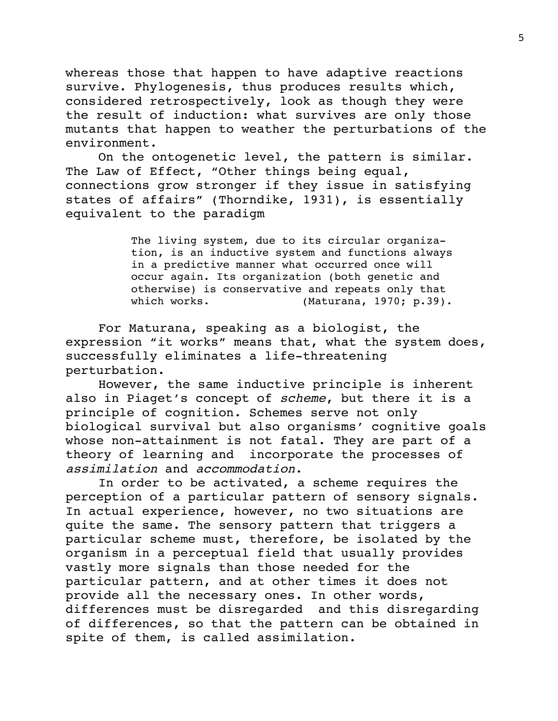whereas those that happen to have adaptive reactions survive. Phylogenesis, thus produces results which, considered retrospectively, look as though they were the result of induction: what survives are only those mutants that happen to weather the perturbations of the environment.

On the ontogenetic level, the pattern is similar. The Law of Effect, "Other things being equal, connections grow stronger if they issue in satisfying states of affairs" (Thorndike, 1931), is essentially equivalent to the paradigm

> The living system, due to its circular organization, is an inductive system and functions always in a predictive manner what occurred once will occur again. Its organization (both genetic and otherwise) is conservative and repeats only that which works. (Maturana, 1970; p.39).

For Maturana, speaking as a biologist, the expression "it works" means that, what the system does, successfully eliminates a life-threatening perturbation.

However, the same inductive principle is inherent also in Piaget's concept of scheme, but there it is a principle of cognition. Schemes serve not only biological survival but also organisms' cognitive goals whose non-attainment is not fatal. They are part of a theory of learning and incorporate the processes of assimilation and accommodation.

In order to be activated, a scheme requires the perception of a particular pattern of sensory signals. In actual experience, however, no two situations are quite the same. The sensory pattern that triggers a particular scheme must, therefore, be isolated by the organism in a perceptual field that usually provides vastly more signals than those needed for the particular pattern, and at other times it does not provide all the necessary ones. In other words, differences must be disregarded and this disregarding of differences, so that the pattern can be obtained in spite of them, is called assimilation.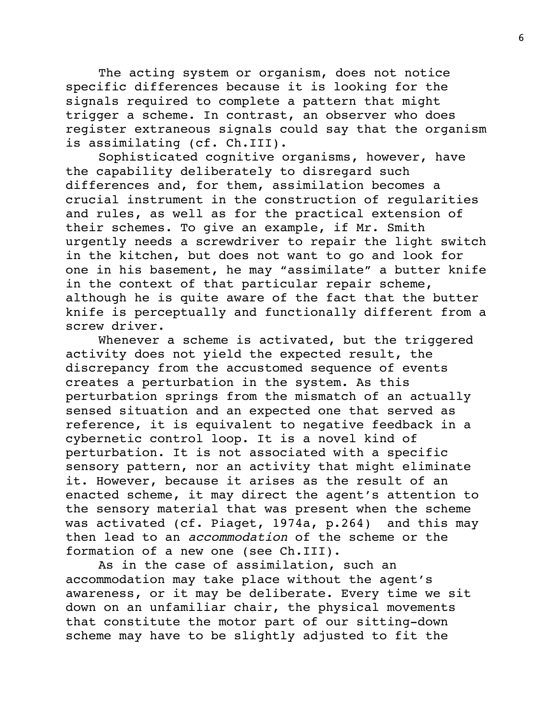The acting system or organism, does not notice specific differences because it is looking for the signals required to complete a pattern that might trigger a scheme. In contrast, an observer who does register extraneous signals could say that the organism is assimilating (cf. Ch.III).

Sophisticated cognitive organisms, however, have the capability deliberately to disregard such differences and, for them, assimilation becomes a crucial instrument in the construction of regularities and rules, as well as for the practical extension of their schemes. To give an example, if Mr. Smith urgently needs a screwdriver to repair the light switch in the kitchen, but does not want to go and look for one in his basement, he may "assimilate" a butter knife in the context of that particular repair scheme, although he is quite aware of the fact that the butter knife is perceptually and functionally different from a screw driver.

Whenever a scheme is activated, but the triggered activity does not yield the expected result, the discrepancy from the accustomed sequence of events creates a perturbation in the system. As this perturbation springs from the mismatch of an actually sensed situation and an expected one that served as reference, it is equivalent to negative feedback in a cybernetic control loop. It is a novel kind of perturbation. It is not associated with a specific sensory pattern, nor an activity that might eliminate it. However, because it arises as the result of an enacted scheme, it may direct the agent's attention to the sensory material that was present when the scheme was activated (cf. Piaget, 1974a, p.264) and this may then lead to an accommodation of the scheme or the formation of a new one (see Ch.III).

As in the case of assimilation, such an accommodation may take place without the agent's awareness, or it may be deliberate. Every time we sit down on an unfamiliar chair, the physical movements that constitute the motor part of our sitting-down scheme may have to be slightly adjusted to fit the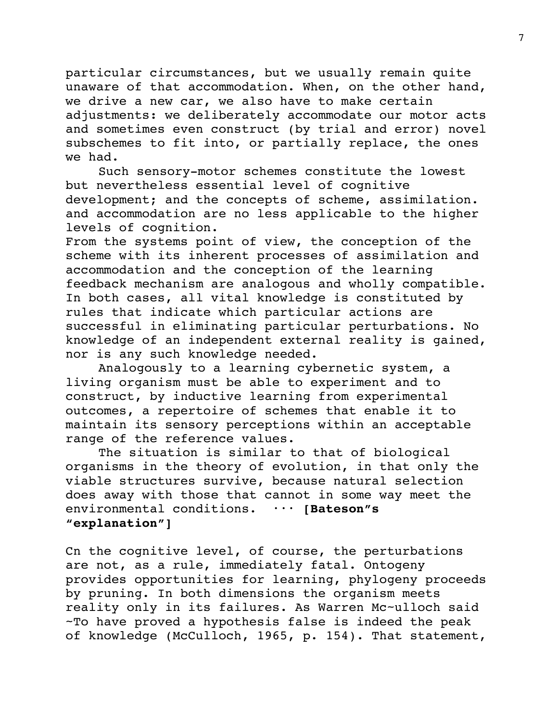particular circumstances, but we usually remain quite unaware of that accommodation. When, on the other hand, we drive a new car, we also have to make certain adjustments: we deliberately accommodate our motor acts and sometimes even construct (by trial and error) novel subschemes to fit into, or partially replace, the ones we had.

Such sensory-motor schemes constitute the lowest but nevertheless essential level of cognitive development; and the concepts of scheme, assimilation. and accommodation are no less applicable to the higher levels of cognition.

From the systems point of view, the conception of the scheme with its inherent processes of assimilation and accommodation and the conception of the learning feedback mechanism are analogous and wholly compatible. In both cases, all vital knowledge is constituted by rules that indicate which particular actions are successful in eliminating particular perturbations. No knowledge of an independent external reality is gained, nor is any such knowledge needed.

Analogously to a learning cybernetic system, a living organism must be able to experiment and to construct, by inductive learning from experimental outcomes, a repertoire of schemes that enable it to maintain its sensory perceptions within an acceptable range of the reference values.

The situation is similar to that of biological organisms in the theory of evolution, in that only the viable structures survive, because natural selection does away with those that cannot in some way meet the environmental conditions. ••• **[Bateson"s "explanation"]**

Cn the cognitive level, of course, the perturbations are not, as a rule, immediately fatal. Ontogeny provides opportunities for learning, phylogeny proceeds by pruning. In both dimensions the organism meets reality only in its failures. As Warren Mc~ulloch said ~To have proved a hypothesis false is indeed the peak of knowledge (McCulloch, 1965, p. 154). That statement,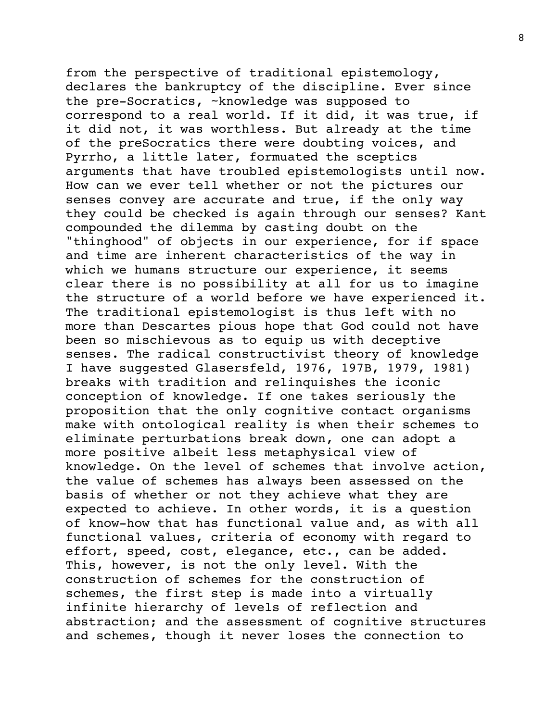from the perspective of traditional epistemology, declares the bankruptcy of the discipline. Ever since the pre-Socratics, ~knowledge was supposed to correspond to a real world. If it did, it was true, if it did not, it was worthless. But already at the time of the preSocratics there were doubting voices, and Pyrrho, a little later, formuated the sceptics arguments that have troubled epistemologists until now. How can we ever tell whether or not the pictures our senses convey are accurate and true, if the only way they could be checked is again through our senses? Kant compounded the dilemma by casting doubt on the "thinghood" of objects in our experience, for if space and time are inherent characteristics of the way in which we humans structure our experience, it seems clear there is no possibility at all for us to imagine the structure of a world before we have experienced it. The traditional epistemologist is thus left with no more than Descartes pious hope that God could not have been so mischievous as to equip us with deceptive senses. The radical constructivist theory of knowledge I have suggested Glasersfeld, 1976, 197B, 1979, 1981) breaks with tradition and relinquishes the iconic conception of knowledge. If one takes seriously the proposition that the only cognitive contact organisms make with ontological reality is when their schemes to eliminate perturbations break down, one can adopt a more positive albeit less metaphysical view of knowledge. On the level of schemes that involve action, the value of schemes has always been assessed on the basis of whether or not they achieve what they are expected to achieve. In other words, it is a question of know-how that has functional value and, as with all functional values, criteria of economy with regard to effort, speed, cost, elegance, etc., can be added. This, however, is not the only level. With the construction of schemes for the construction of schemes, the first step is made into a virtually infinite hierarchy of levels of reflection and abstraction; and the assessment of cognitive structures and schemes, though it never loses the connection to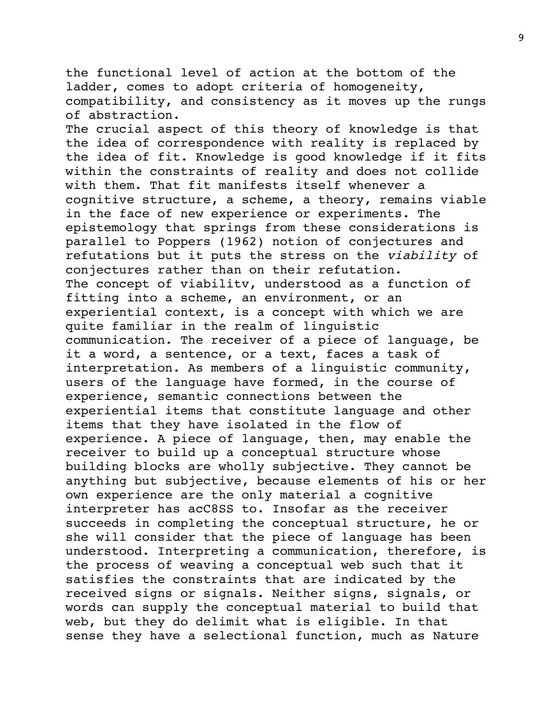the functional level of action at the bottom of the ladder, comes to adopt criteria of homogeneity, compatibility, and consistency as it moves up the rungs of abstraction. The crucial aspect of this theory of knowledge is that the idea of correspondence with reality is replaced by the idea of fit. Knowledge is good knowledge if it fits within the constraints of reality and does not collide with them. That fit manifests itself whenever a cognitive structure, a scheme, a theory, remains viable in the face of new experience or experiments. The epistemology that springs from these considerations is parallel to Poppers (1962) notion of conjectures and refutations but it puts the stress on the viability of conjectures rather than on their refutation. The concept of viabilitv, understood as a function of fitting into a scheme, an environment, or an experiential context, is a concept with which we are quite familiar in the realm of linguistic communication. The receiver of a piece of language, be it a word, a sentence, or a text, faces a task of interpretation. As members of a linguistic community, users of the language have formed, in the course of experience, semantic connections between the experiential items that constitute language and other items that they have isolated in the flow of experience. A piece of language, then, may enable the receiver to build up a conceptual structure whose building blocks are wholly subjective. They cannot be anything but subjective, because elements of his or her own experience are the only material a cognitive interpreter has acC8SS to. Insofar as the receiver succeeds in completing the conceptual structure, he or she will consider that the piece of language has been understood. Interpreting a communication, therefore, is the process of weaving a conceptual web such that it satisfies the constraints that are indicated by the received signs or signals. Neither signs, signals, or words can supply the conceptual material to build that web, but they do delimit what is eligible. In that sense they have a selectional function, much as Nature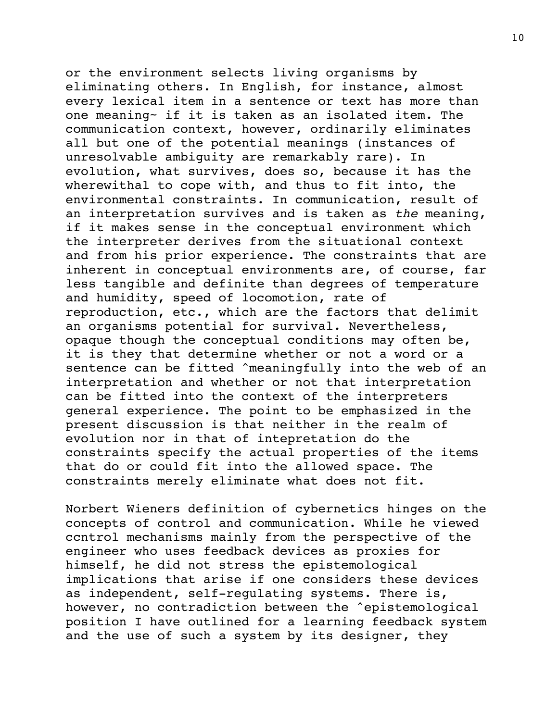or the environment selects living organisms by eliminating others. In English, for instance, almost every lexical item in a sentence or text has more than one meaning~ if it is taken as an isolated item. The communication context, however, ordinarily eliminates all but one of the potential meanings (instances of unresolvable ambiguity are remarkably rare). In evolution, what survives, does so, because it has the wherewithal to cope with, and thus to fit into, the environmental constraints. In communication, result of an interpretation survives and is taken as the meaning, if it makes sense in the conceptual environment which the interpreter derives from the situational context and from his prior experience. The constraints that are inherent in conceptual environments are, of course, far less tangible and definite than degrees of temperature and humidity, speed of locomotion, rate of reproduction, etc., which are the factors that delimit an organisms potential for survival. Nevertheless, opaque though the conceptual conditions may often be, it is they that determine whether or not a word or a sentence can be fitted ^meaningfully into the web of an interpretation and whether or not that interpretation can be fitted into the context of the interpreters general experience. The point to be emphasized in the present discussion is that neither in the realm of evolution nor in that of intepretation do the constraints specify the actual properties of the items that do or could fit into the allowed space. The constraints merely eliminate what does not fit.

Norbert Wieners definition of cybernetics hinges on the concepts of control and communication. While he viewed ccntrol mechanisms mainly from the perspective of the engineer who uses feedback devices as proxies for himself, he did not stress the epistemological implications that arise if one considers these devices as independent, self-regulating systems. There is, however, no contradiction between the ^epistemological position I have outlined for a learning feedback system and the use of such a system by its designer, they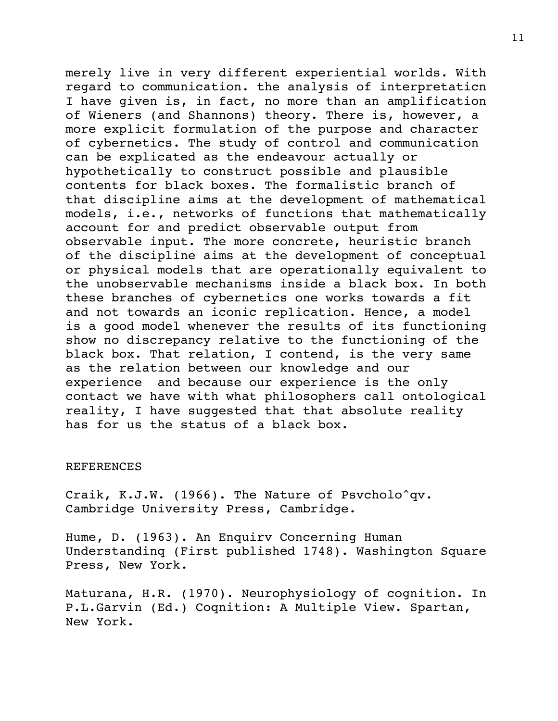merely live in very different experiential worlds. With regard to communication. the analysis of interpretaticn I have given is, in fact, no more than an amplification of Wieners (and Shannons) theory. There is, however, a more explicit formulation of the purpose and character of cybernetics. The study of control and communication can be explicated as the endeavour actually or hypothetically to construct possible and plausible contents for black boxes. The formalistic branch of that discipline aims at the development of mathematical models, i.e., networks of functions that mathematically account for and predict observable output from observable input. The more concrete, heuristic branch of the discipline aims at the development of conceptual or physical models that are operationally equivalent to the unobservable mechanisms inside a black box. In both these branches of cybernetics one works towards a fit and not towards an iconic replication. Hence, a model is a good model whenever the results of its functioning show no discrepancy relative to the functioning of the black box. That relation, I contend, is the very same as the relation between our knowledge and our experience and because our experience is the only contact we have with what philosophers call ontological reality, I have suggested that that absolute reality has for us the status of a black box.

## REFERENCES

Craik, K.J.W. (1966). The Nature of Psvcholo^qv. Cambridge University Press, Cambridge.

Hume, D. (1963). An Enquirv Concerning Human Understandinq (First published 1748). Washington Square Press, New York.

Maturana, H.R. (1970). Neurophysiology of cognition. In P.L.Garvin (Ed.) Coqnition: A Multiple View. Spartan, New York.